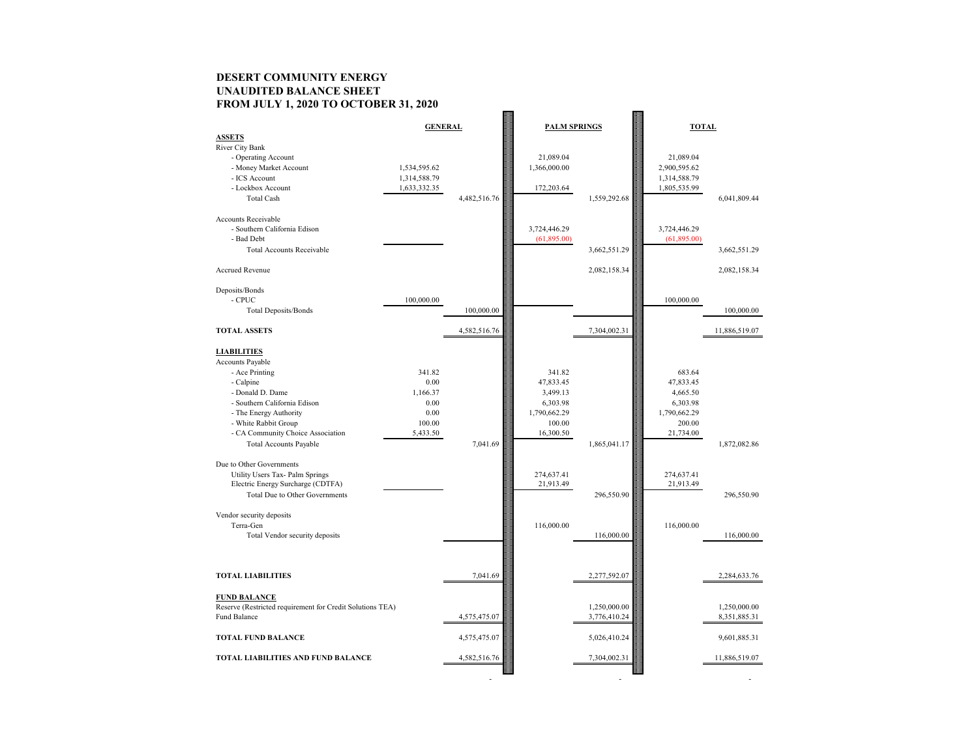## **DESERT COMMUNITY ENERGY UNAUDITED BALANCE SHEET FROM JULY 1, 2020 TO OCTOBER 31, 2020**

|                                                           | <b>GENERAL</b> |              | <b>PALM SPRINGS</b> |              | <b>TOTAL</b> |               |
|-----------------------------------------------------------|----------------|--------------|---------------------|--------------|--------------|---------------|
| <b>ASSETS</b>                                             |                |              |                     |              |              |               |
| River City Bank                                           |                |              |                     |              |              |               |
| - Operating Account                                       |                |              | 21,089.04           |              | 21,089.04    |               |
| - Money Market Account                                    | 1,534,595.62   |              | 1,366,000.00        |              | 2,900,595.62 |               |
| - ICS Account                                             | 1,314,588.79   |              |                     |              | 1,314,588.79 |               |
| - Lockbox Account                                         | 1,633,332.35   |              | 172,203.64          |              | 1,805,535.99 |               |
| <b>Total Cash</b>                                         |                | 4,482,516.76 |                     | 1,559,292.68 |              | 6,041,809.44  |
|                                                           |                |              |                     |              |              |               |
| <b>Accounts Receivable</b>                                |                |              |                     |              |              |               |
| - Southern California Edison                              |                |              | 3,724,446.29        |              | 3,724,446.29 |               |
| - Bad Debt                                                |                |              | (61,895.00)         |              | (61,895.00)  |               |
| <b>Total Accounts Receivable</b>                          |                |              |                     | 3,662,551.29 |              | 3,662,551.29  |
| Accrued Revenue                                           |                |              |                     | 2,082,158.34 |              | 2,082,158.34  |
| Deposits/Bonds                                            |                |              |                     |              |              |               |
| $\mathop{\mathsf{CPUC}}$                                  | 100,000.00     |              |                     |              | 100,000.00   |               |
| <b>Total Deposits/Bonds</b>                               |                | 100,000.00   |                     |              |              | 100,000.00    |
| <b>TOTAL ASSETS</b>                                       |                | 4,582,516.76 |                     | 7,304,002.31 |              | 11,886,519.07 |
|                                                           |                |              |                     |              |              |               |
| <b>LIABILITIES</b>                                        |                |              |                     |              |              |               |
| <b>Accounts Payable</b>                                   |                |              |                     |              |              |               |
| - Ace Printing                                            | 341.82         |              | 341.82              |              | 683.64       |               |
| - Calpine                                                 | 0.00           |              | 47,833.45           |              | 47,833.45    |               |
| - Donald D. Dame                                          | 1,166.37       |              | 3,499.13            |              | 4,665.50     |               |
| - Southern California Edison                              | 0.00           |              | 6,303.98            |              | 6,303.98     |               |
| - The Energy Authority                                    | 0.00           |              | 1,790,662.29        |              | 1,790,662.29 |               |
| - White Rabbit Group                                      | 100.00         |              | 100.00              |              | 200.00       |               |
| - CA Community Choice Association                         | 5,433.50       |              | 16,300.50           |              | 21,734.00    |               |
| <b>Total Accounts Payable</b>                             |                | 7,041.69     |                     | 1,865,041.17 |              | 1,872,082.86  |
|                                                           |                |              |                     |              |              |               |
| Due to Other Governments                                  |                |              |                     |              |              |               |
| Utility Users Tax- Palm Springs                           |                |              | 274,637.41          |              | 274,637.41   |               |
| Electric Energy Surcharge (CDTFA)                         |                |              | 21,913.49           |              | 21,913.49    |               |
| <b>Total Due to Other Governments</b>                     |                |              |                     | 296,550.90   |              | 296,550.90    |
| Vendor security deposits                                  |                |              |                     |              |              |               |
| Terra-Gen                                                 |                |              | 116,000.00          |              | 116,000.00   |               |
| Total Vendor security deposits                            |                |              |                     | 116,000.00   |              | 116,000.00    |
|                                                           |                |              |                     |              |              |               |
| <b>TOTAL LIABILITIES</b>                                  |                | 7,041.69     |                     | 2,277,592.07 |              | 2,284,633.76  |
|                                                           |                |              |                     |              |              |               |
| <b>FUND BALANCE</b>                                       |                |              |                     |              |              |               |
| Reserve (Restricted requirement for Credit Solutions TEA) |                |              |                     | 1,250,000.00 |              | 1,250,000.00  |
| Fund Balance                                              |                | 4,575,475.07 |                     | 3,776,410.24 |              | 8,351,885.31  |
| <b>TOTAL FUND BALANCE</b>                                 |                | 4,575,475.07 |                     | 5,026,410.24 |              | 9,601,885.31  |
| <b>TOTAL LIABILITIES AND FUND BALANCE</b>                 |                | 4,582,516.76 |                     | 7,304,002.31 |              | 11,886,519.07 |
|                                                           |                |              |                     |              |              |               |
|                                                           |                |              |                     |              |              |               |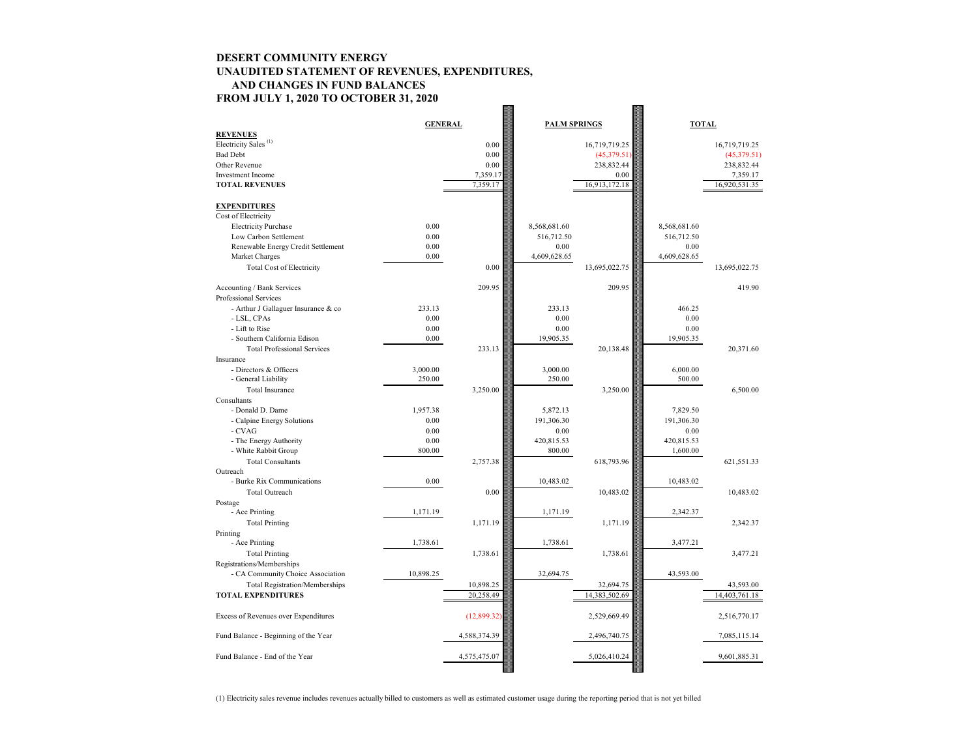# **DESERT COMMUNITY ENERGY UNAUDITED STATEMENT OF REVENUES, EXPENDITURES, AND CHANGES IN FUND BALANCES FROM JULY 1, 2020 TO OCTOBER 31, 2020**

|                                                | <b>GENERAL</b> |              | <b>PALM SPRINGS</b> |               | <b>TOTAL</b>      |               |
|------------------------------------------------|----------------|--------------|---------------------|---------------|-------------------|---------------|
| <b>REVENUES</b>                                |                |              |                     |               |                   |               |
| Electricity Sales <sup>(1)</sup>               |                | 0.00         |                     | 16,719,719.25 |                   | 16,719,719.25 |
| <b>Bad Debt</b>                                |                | 0.00         |                     | (45,379.51)   |                   | (45,379.51)   |
| Other Revenue                                  |                | 0.00         |                     | 238,832.44    |                   | 238,832.44    |
| <b>Investment Income</b>                       |                | 7,359.17     |                     | 0.00          |                   | 7,359.17      |
| <b>TOTAL REVENUES</b>                          |                | 7,359.17     |                     | 16,913,172.18 |                   | 16,920,531.35 |
| <b>EXPENDITURES</b>                            |                |              |                     |               |                   |               |
| Cost of Electricity                            |                |              |                     |               |                   |               |
| <b>Electricity Purchase</b>                    | 0.00           |              | 8,568,681.60        |               | 8,568,681.60      |               |
| Low Carbon Settlement                          | 0.00           |              | 516,712.50          |               | 516,712.50        |               |
| Renewable Energy Credit Settlement             | 0.00           |              | 0.00                |               | 0.00              |               |
| Market Charges                                 | 0.00           |              | 4,609,628.65        |               | 4,609,628.65      |               |
| <b>Total Cost of Electricity</b>               |                | 0.00         |                     | 13,695,022.75 |                   | 13,695,022.75 |
| Accounting / Bank Services                     |                | 209.95       |                     | 209.95        |                   | 419.90        |
| Professional Services                          |                |              |                     |               |                   |               |
| - Arthur J Gallaguer Insurance & co            | 233.13<br>0.00 |              | 233.13              |               | 466.25            |               |
| - LSL, CPAs                                    |                |              | 0.00                |               | 0.00              |               |
| - Lift to Rise<br>- Southern California Edison | 0.00<br>0.00   |              | 0.00<br>19,905.35   |               | 0.00<br>19,905.35 |               |
| <b>Total Professional Services</b>             |                | 233.13       |                     |               |                   |               |
|                                                |                |              |                     | 20,138.48     |                   | 20,371.60     |
| Insurance<br>- Directors & Officers            | 3,000.00       |              | 3,000.00            |               | 6,000.00          |               |
| - General Liability                            | 250.00         |              | 250.00              |               | 500.00            |               |
| Total Insurance                                |                | 3,250.00     |                     | 3,250.00      |                   | 6,500.00      |
| Consultants                                    |                |              |                     |               |                   |               |
| - Donald D. Dame                               | 1,957.38       |              | 5,872.13            |               | 7,829.50          |               |
| - Calpine Energy Solutions                     | 0.00           |              | 191,306.30          |               | 191,306.30        |               |
| $\mathbf{-}\operatorname{CVAG}$                | 0.00           |              | 0.00                |               | 0.00              |               |
| - The Energy Authority                         | 0.00           |              | 420,815.53          |               | 420,815.53        |               |
| - White Rabbit Group                           | 800.00         |              | 800.00              |               | 1,600.00          |               |
| <b>Total Consultants</b>                       |                | 2,757.38     |                     | 618,793.96    |                   | 621,551.33    |
| Outreach                                       |                |              |                     |               |                   |               |
| - Burke Rix Communications                     | 0.00           |              | 10,483.02           |               | 10,483.02         |               |
| Total Outreach                                 |                | 0.00         |                     | 10,483.02     |                   | 10,483.02     |
| Postage                                        |                |              |                     |               |                   |               |
| - Ace Printing                                 | 1,171.19       |              | 1,171.19            |               | 2,342.37          |               |
| <b>Total Printing</b>                          |                | 1,171.19     |                     | 1,171.19      |                   | 2,342.37      |
| Printing                                       |                |              |                     |               |                   |               |
| - Ace Printing                                 | 1,738.61       |              | 1,738.61            |               | 3,477.21          |               |
| <b>Total Printing</b>                          |                | 1,738.61     |                     | 1,738.61      |                   | 3,477.21      |
| Registrations/Memberships                      |                |              |                     |               |                   |               |
| - CA Community Choice Association              | 10,898.25      |              | 32,694.75           |               | 43,593.00         |               |
| <b>Total Registration/Memberships</b>          |                | 10,898.25    |                     | 32,694.75     |                   | 43,593.00     |
| <b>TOTAL EXPENDITURES</b>                      |                | 20,258.49    |                     | 14,383,502.69 |                   | 14,403,761.18 |
|                                                |                |              |                     |               |                   |               |
| Excess of Revenues over Expenditures           |                | (12,899.32)  |                     | 2,529,669.49  |                   | 2,516,770.17  |
| Fund Balance - Beginning of the Year           |                | 4,588,374.39 |                     | 2,496,740.75  |                   | 7,085,115.14  |
| Fund Balance - End of the Year                 |                | 4,575,475.07 |                     | 5,026,410.24  |                   | 9,601,885.31  |

(1) Electricity sales revenue includes revenues actually billed to customers as well as estimated customer usage during the reporting period that is not yet billed